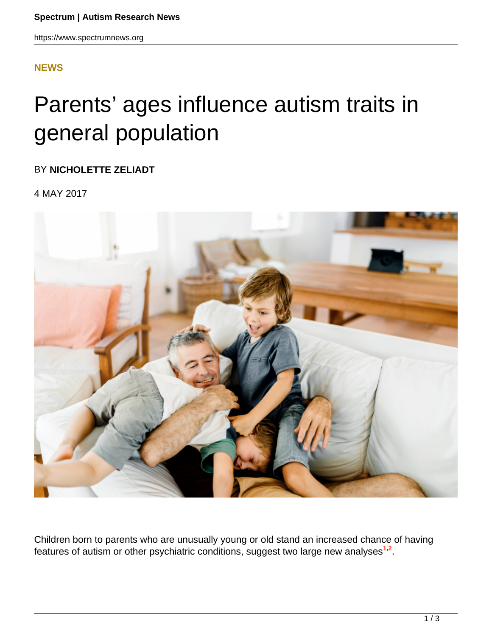### **[NEWS](HTTPS://WWW.SPECTRUMNEWS.ORG/NEWS/)**

# Parents' ages influence autism traits in general population

BY **NICHOLETTE ZELIADT**

4 MAY 2017



Children born to parents who are unusually young or old stand an increased chance of having features of autism or other psychiatric conditions, suggest two large new analyses**<sup>1</sup>**,**<sup>2</sup>** .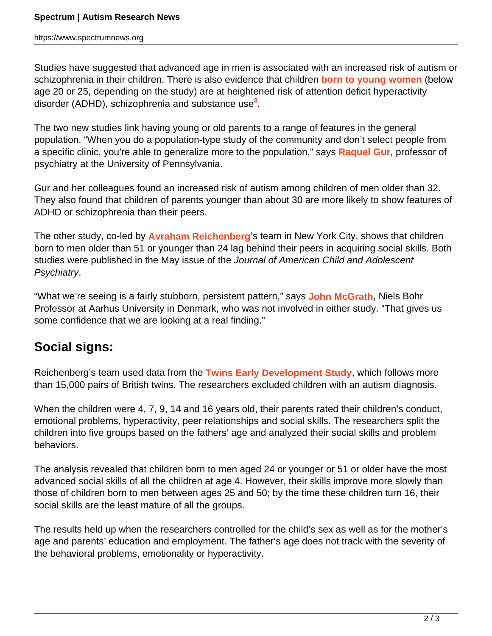https://www.spectrumnews.org

Studies have suggested that advanced age in men is associated with an increased risk of autism or schizophrenia in their children. There is also evidence that children **born to young women** (below age 20 or 25, depending on the study) are at heightened risk of attention deficit hyperactivity disorder (ADHD), schizophrenia and substance use**<sup>3</sup>** .

The two new studies link having young or old parents to a range of features in the general population. "When you do a population-type study of the community and don't select people from a specific clinic, you're able to generalize more to the population," says **Raquel Gur**, professor of psychiatry at the University of Pennsylvania.

Gur and her colleagues found an increased risk of autism among children of men older than 32. They also found that children of parents younger than about 30 are more likely to show features of ADHD or schizophrenia than their peers.

The other study, co-led by **Avraham Reichenberg**'s team in New York City, shows that children born to men older than 51 or younger than 24 lag behind their peers in acquiring social skills. Both studies were published in the May issue of the Journal of American Child and Adolescent Psychiatry.

"What we're seeing is a fairly stubborn, persistent pattern," says **John McGrath**, Niels Bohr Professor at Aarhus University in Denmark, who was not involved in either study. "That gives us some confidence that we are looking at a real finding."

## **Social signs:**

Reichenberg's team used data from the **Twins Early Development Study**, which follows more than 15,000 pairs of British twins. The researchers excluded children with an autism diagnosis.

When the children were 4, 7, 9, 14 and 16 years old, their parents rated their children's conduct, emotional problems, hyperactivity, peer relationships and social skills. The researchers split the children into five groups based on the fathers' age and analyzed their social skills and problem behaviors.

The analysis revealed that children born to men aged 24 or younger or 51 or older have the most advanced social skills of all the children at age 4. However, their skills improve more slowly than those of children born to men between ages 25 and 50; by the time these children turn 16, their social skills are the least mature of all the groups.

The results held up when the researchers controlled for the child's sex as well as for the mother's age and parents' education and employment. The father's age does not track with the severity of the behavioral problems, emotionality or hyperactivity.